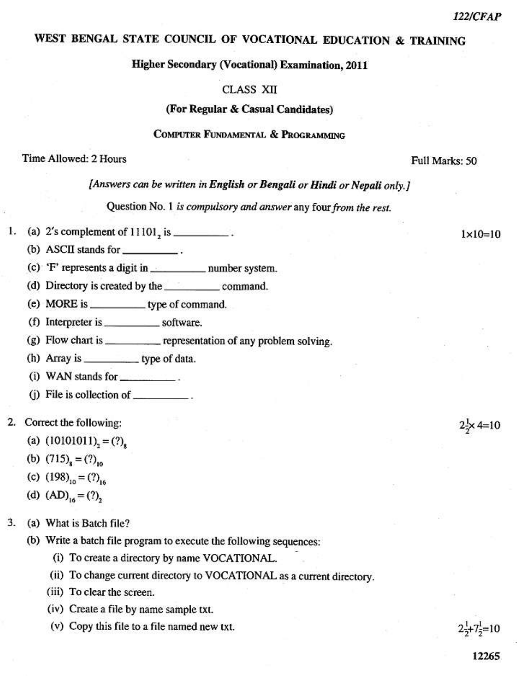$1 \times 10 = 10$ 

 $2 \times 4 = 10$ 

# WEST BENGAL STATE COUNCIL OF VOCATIONAL EDUCATION & TRAINING

Higher Secondary (Vocational) Examination, 2011

### **CLASS XII**

#### (For Regular & Casual Candidates)

## COMPUTER FUNDAMENTAL & PROGRAMMING

#### Time Allowed: 2 Hours

Full Marks: 50

[Answers can be written in English or Bengali or Hindi or Nepali only.]

Question No. 1 is compulsory and answer any four from the rest.

- (a)  $2's$  complement of  $11101$ , is \_\_\_\_\_\_\_\_\_\_. 1.
	- (b) ASCII stands for
	-
	-
	- (e) MORE is \_\_\_\_\_\_\_\_\_\_\_\_ type of command.
	-
	- (g) Flow chart is \_\_\_\_\_\_\_\_\_\_\_\_ representation of any problem solving.
	- (h) Array is \_\_\_\_\_\_\_\_\_\_\_\_\_\_\_\_\_\_ type of data.
	- (i) WAN stands for  $\frac{1}{2}$ .
	- (j) File is collection of  $\_\_\_\_\_\_\$ .
- 2. Correct the following:
	- (a)  $(10101011)$ , = (?),
	- (b)  $(715)_{\rm s} = (?)_{\rm m}$
	- (c)  $(198)_{10} = (?)_{16}$
	- (d)  $(AD)_{16} = (?)$ ,
- 3. (a) What is Batch file?
	- (b) Write a batch file program to execute the following sequences:
		- (i) To create a directory by name VOCATIONAL.
		- (ii) To change current directory to VOCATIONAL as a current directory.
		- (iii) To clear the screen.
		- (iv) Create a file by name sample txt.
		- (v) Copy this file to a file named new txt.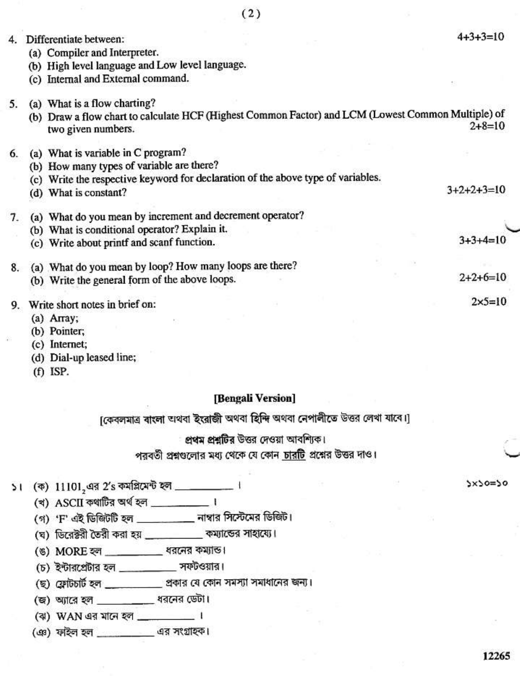| 4. | Differentiate between:                                                                                                   | $4+3+3=10$        |
|----|--------------------------------------------------------------------------------------------------------------------------|-------------------|
|    | (a) Compiler and Interpreter.                                                                                            |                   |
|    | (b) High level language and Low level language.                                                                          |                   |
|    | (c) Internal and External command.                                                                                       |                   |
| 5. | (a) What is a flow charting?                                                                                             |                   |
|    | (b) Draw a flow chart to calculate HCF (Highest Common Factor) and LCM (Lowest Common Multiple) of<br>two given numbers. | $2+8=10$          |
| 6. | (a) What is variable in C program?                                                                                       |                   |
|    | (b) How many types of variable are there?                                                                                |                   |
|    | (c) Write the respective keyword for declaration of the above type of variables.                                         |                   |
|    | (d) What is constant?                                                                                                    | $3+2+2+3=10$      |
| 7. | (a) What do you mean by increment and decrement operator?                                                                |                   |
|    | (b) What is conditional operator? Explain it.                                                                            |                   |
|    | (c) Write about printf and scanf function.                                                                               | $3+3+4=10$        |
| 8. | (a) What do you mean by loop? How many loops are there?                                                                  |                   |
|    | (b) Write the general form of the above loops.                                                                           | $2+2+6=10$        |
| 9. | Write short notes in brief on:                                                                                           | $2 \times 5 = 10$ |
|    | (a) $A$ rray;                                                                                                            |                   |
|    | (b) Pointer:                                                                                                             |                   |

 $(2)$ 

- (c) Internet;
- (d) Dial-up leased line;
- (f) ISP.

## [Bengali Version]

[কেবলমাত্র বাংলা অথবা ইংরাজী অথবা হিন্দি অথবা নেপালীতে উত্তর লেখা যাবে।]

প্রথম প্রশ্নটির উত্তর দেওয়া আবশ্যিক।

পরবর্তী প্রশ্নগুলোর মধ্য থেকে যে কোন চারটি প্রশ্নের উত্তর দাও।

(খ) ASCII কথাটির অর্থ হল  $\frac{1}{2}$  ।

- (গ) 'F' এই ডিজিটটি হল \_\_\_\_\_\_\_\_\_ নাম্বার সিস্টেমের ডিজিট।
- (ঘ) ডিরেক্টরী তৈরী করা হয় \_\_\_\_\_\_\_\_\_ কম্যান্ডের সাহায্যে।
- (ঙ) MORE হল \_\_\_\_\_\_\_\_\_\_\_\_ ধরনের কম্যান্ড।
- $(5)$  ইন্টারপ্রেটার হল \_\_\_\_\_\_\_\_\_\_ সফটওয়ার।
- (ছ) ফ্রোটচার্ট হল \_\_\_\_\_\_\_\_\_ প্রকার যে কোন সমস্যা সমাধানের জন্য।
- (জ) অ্যারে হল \_\_\_\_\_\_\_\_\_ ধরনের ডেটা।
- (ঝ) WAN এর মানে হল \_\_\_\_\_\_\_\_\_\_ ।
- (এঃ) ফাইল হল \_\_\_\_\_\_\_\_\_\_ এর সংগ্রাহক।

 $5x50=50$